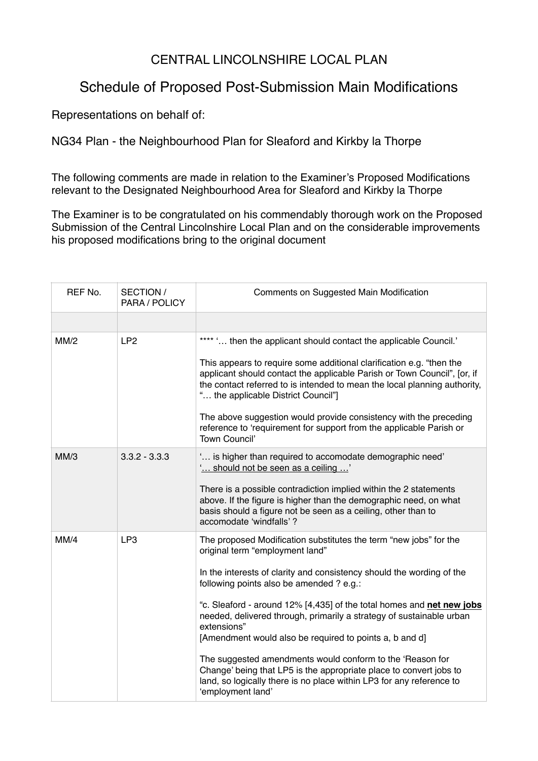## CENTRAL LINCOLNSHIRE LOCAL PLAN

## Schedule of Proposed Post-Submission Main Modifications

Representations on behalf of:

NG34 Plan - the Neighbourhood Plan for Sleaford and Kirkby la Thorpe

The following comments are made in relation to the Examiner's Proposed Modifications relevant to the Designated Neighbourhood Area for Sleaford and Kirkby la Thorpe

The Examiner is to be congratulated on his commendably thorough work on the Proposed Submission of the Central Lincolnshire Local Plan and on the considerable improvements his proposed modifications bring to the original document

| REF No. | SECTION /<br>PARA / POLICY | Comments on Suggested Main Modification                                                                                                                                                                                                                                                                                                                                                                                                                                                                                                                                                                                                                                              |
|---------|----------------------------|--------------------------------------------------------------------------------------------------------------------------------------------------------------------------------------------------------------------------------------------------------------------------------------------------------------------------------------------------------------------------------------------------------------------------------------------------------------------------------------------------------------------------------------------------------------------------------------------------------------------------------------------------------------------------------------|
|         |                            |                                                                                                                                                                                                                                                                                                                                                                                                                                                                                                                                                                                                                                                                                      |
| MM/2    | LP <sub>2</sub>            | **** ' then the applicant should contact the applicable Council.'<br>This appears to require some additional clarification e.g. "then the<br>applicant should contact the applicable Parish or Town Council", [or, if<br>the contact referred to is intended to mean the local planning authority,<br>" the applicable District Council"]<br>The above suggestion would provide consistency with the preceding                                                                                                                                                                                                                                                                       |
|         |                            | reference to 'requirement for support from the applicable Parish or<br>Town Council'                                                                                                                                                                                                                                                                                                                                                                                                                                                                                                                                                                                                 |
| MM/3    | $3.3.2 - 3.3.3$            | ' is higher than required to accomodate demographic need'<br>' should not be seen as a ceiling '<br>There is a possible contradiction implied within the 2 statements<br>above. If the figure is higher than the demographic need, on what<br>basis should a figure not be seen as a ceiling, other than to<br>accomodate 'windfalls' ?                                                                                                                                                                                                                                                                                                                                              |
| MM/4    | LP <sub>3</sub>            | The proposed Modification substitutes the term "new jobs" for the<br>original term "employment land"<br>In the interests of clarity and consistency should the wording of the<br>following points also be amended ? e.g.:<br>"c. Sleaford - around 12% [4,435] of the total homes and net new jobs<br>needed, delivered through, primarily a strategy of sustainable urban<br>extensions"<br>[Amendment would also be required to points a, b and d]<br>The suggested amendments would conform to the 'Reason for<br>Change' being that LP5 is the appropriate place to convert jobs to<br>land, so logically there is no place within LP3 for any reference to<br>'employment land' |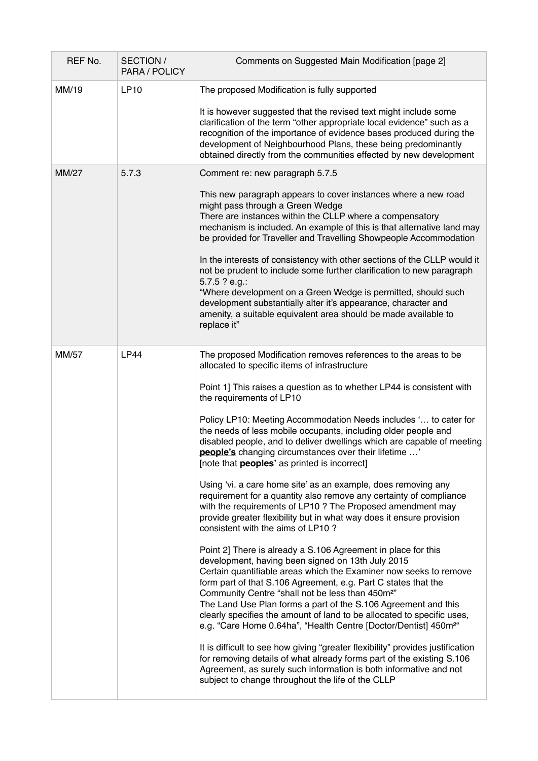| REF No.      | SECTION /<br>PARA / POLICY | Comments on Suggested Main Modification [page 2]                                                                                                                                                                                                                                                                                                                                                                                                                                                                                                                                                                                                                                                                                                                                                                                                                                                                                                                                                                                                                                                                                                                                                                                                                                                                                                                                                                                                                                                                                                                                                                                                                                                           |
|--------------|----------------------------|------------------------------------------------------------------------------------------------------------------------------------------------------------------------------------------------------------------------------------------------------------------------------------------------------------------------------------------------------------------------------------------------------------------------------------------------------------------------------------------------------------------------------------------------------------------------------------------------------------------------------------------------------------------------------------------------------------------------------------------------------------------------------------------------------------------------------------------------------------------------------------------------------------------------------------------------------------------------------------------------------------------------------------------------------------------------------------------------------------------------------------------------------------------------------------------------------------------------------------------------------------------------------------------------------------------------------------------------------------------------------------------------------------------------------------------------------------------------------------------------------------------------------------------------------------------------------------------------------------------------------------------------------------------------------------------------------------|
| MM/19        | <b>LP10</b>                | The proposed Modification is fully supported<br>It is however suggested that the revised text might include some<br>clarification of the term "other appropriate local evidence" such as a<br>recognition of the importance of evidence bases produced during the<br>development of Neighbourhood Plans, these being predominantly<br>obtained directly from the communities effected by new development                                                                                                                                                                                                                                                                                                                                                                                                                                                                                                                                                                                                                                                                                                                                                                                                                                                                                                                                                                                                                                                                                                                                                                                                                                                                                                   |
| <b>MM/27</b> | 5.7.3                      | Comment re: new paragraph 5.7.5<br>This new paragraph appears to cover instances where a new road<br>might pass through a Green Wedge<br>There are instances within the CLLP where a compensatory<br>mechanism is included. An example of this is that alternative land may<br>be provided for Traveller and Travelling Showpeople Accommodation<br>In the interests of consistency with other sections of the CLLP would it<br>not be prudent to include some further clarification to new paragraph<br>5.7.5 ? e.g.:<br>"Where development on a Green Wedge is permitted, should such<br>development substantially alter it's appearance, character and<br>amenity, a suitable equivalent area should be made available to<br>replace it"                                                                                                                                                                                                                                                                                                                                                                                                                                                                                                                                                                                                                                                                                                                                                                                                                                                                                                                                                                |
| MM/57        | LP44                       | The proposed Modification removes references to the areas to be<br>allocated to specific items of infrastructure<br>Point 1] This raises a question as to whether LP44 is consistent with<br>the requirements of LP10<br>Policy LP10: Meeting Accommodation Needs includes ' to cater for<br>the needs of less mobile occupants, including older people and<br>disabled people, and to deliver dwellings which are capable of meeting<br>people's changing circumstances over their lifetime<br>[note that peoples' as printed is incorrect]<br>Using 'vi. a care home site' as an example, does removing any<br>requirement for a quantity also remove any certainty of compliance<br>with the requirements of LP10 ? The Proposed amendment may<br>provide greater flexibility but in what way does it ensure provision<br>consistent with the aims of LP10?<br>Point 2] There is already a S.106 Agreement in place for this<br>development, having been signed on 13th July 2015<br>Certain quantifiable areas which the Examiner now seeks to remove<br>form part of that S.106 Agreement, e.g. Part C states that the<br>Community Centre "shall not be less than 450m <sup>2"</sup><br>The Land Use Plan forms a part of the S.106 Agreement and this<br>clearly specifies the amount of land to be allocated to specific uses,<br>e.g. "Care Home 0.64ha", "Health Centre [Doctor/Dentist] 450m <sup>2"</sup><br>It is difficult to see how giving "greater flexibility" provides justification<br>for removing details of what already forms part of the existing S.106<br>Agreement, as surely such information is both informative and not<br>subject to change throughout the life of the CLLP |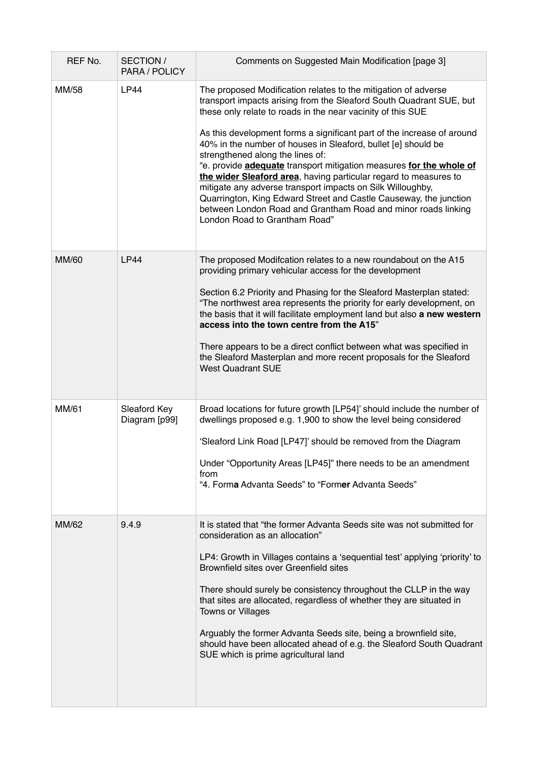| REF No.      | SECTION /<br>PARA / POLICY    | Comments on Suggested Main Modification [page 3]                                                                                                                                                                                                                                                                                                                                                                                                                                                                                                                                                                                                                                                                                                                           |
|--------------|-------------------------------|----------------------------------------------------------------------------------------------------------------------------------------------------------------------------------------------------------------------------------------------------------------------------------------------------------------------------------------------------------------------------------------------------------------------------------------------------------------------------------------------------------------------------------------------------------------------------------------------------------------------------------------------------------------------------------------------------------------------------------------------------------------------------|
| MM/58        | <b>LP44</b>                   | The proposed Modification relates to the mitigation of adverse<br>transport impacts arising from the Sleaford South Quadrant SUE, but<br>these only relate to roads in the near vacinity of this SUE<br>As this development forms a significant part of the increase of around<br>40% in the number of houses in Sleaford, bullet [e] should be<br>strengthened along the lines of:<br>"e. provide <b>adequate</b> transport mitigation measures for the whole of<br>the wider Sleaford area, having particular regard to measures to<br>mitigate any adverse transport impacts on Silk Willoughby,<br>Quarrington, King Edward Street and Castle Causeway, the junction<br>between London Road and Grantham Road and minor roads linking<br>London Road to Grantham Road" |
| <b>MM/60</b> | <b>LP44</b>                   | The proposed Modifcation relates to a new roundabout on the A15<br>providing primary vehicular access for the development<br>Section 6.2 Priority and Phasing for the Sleaford Masterplan stated:<br>"The northwest area represents the priority for early development, on<br>the basis that it will facilitate employment land but also a new western<br>access into the town centre from the A15"<br>There appears to be a direct conflict between what was specified in<br>the Sleaford Masterplan and more recent proposals for the Sleaford<br><b>West Quadrant SUE</b>                                                                                                                                                                                               |
| MM/61        | Sleaford Key<br>Diagram [p99] | Broad locations for future growth [LP54]' should include the number of<br>dwellings proposed e.g. 1,900 to show the level being considered<br>'Sleaford Link Road [LP47]' should be removed from the Diagram<br>Under "Opportunity Areas [LP45]" there needs to be an amendment<br>from<br>"4. Forma Advanta Seeds" to "Former Advanta Seeds"                                                                                                                                                                                                                                                                                                                                                                                                                              |
| MM/62        | 9.4.9                         | It is stated that "the former Advanta Seeds site was not submitted for<br>consideration as an allocation"<br>LP4: Growth in Villages contains a 'sequential test' applying 'priority' to<br>Brownfield sites over Greenfield sites<br>There should surely be consistency throughout the CLLP in the way<br>that sites are allocated, regardless of whether they are situated in<br><b>Towns or Villages</b><br>Arguably the former Advanta Seeds site, being a brownfield site,<br>should have been allocated ahead of e.g. the Sleaford South Quadrant<br>SUE which is prime agricultural land                                                                                                                                                                            |